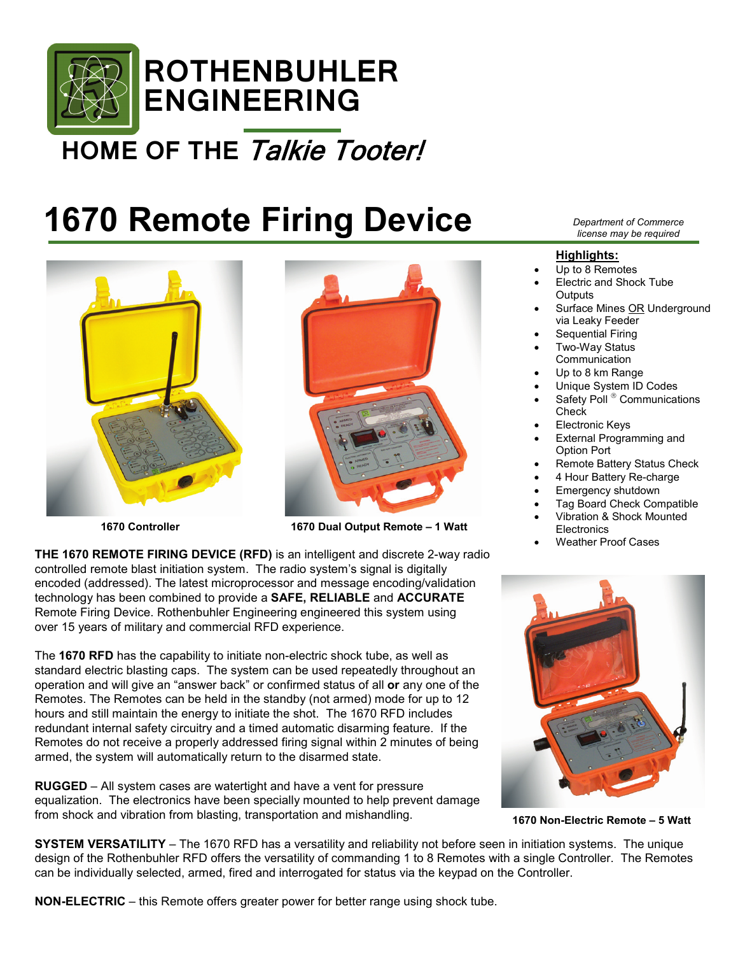

## **HOME OF THE** Talkie Tooter!

# **1670 Remote Firing Device**





 **1670 Controller 1670 Dual Output Remote – 1 Watt**

**THE 1670 REMOTE FIRING DEVICE (RFD)** is an intelligent and discrete 2-way radio controlled remote blast initiation system. The radio system's signal is digitally encoded (addressed). The latest microprocessor and message encoding/validation technology has been combined to provide a **SAFE, RELIABLE** and **ACCURATE** Remote Firing Device. Rothenbuhler Engineering engineered this system using over 15 years of military and commercial RFD experience.

The **1670 RFD** has the capability to initiate non-electric shock tube, as well as standard electric blasting caps. The system can be used repeatedly throughout an operation and will give an "answer back" or confirmed status of all **or** any one of the Remotes. The Remotes can be held in the standby (not armed) mode for up to 12 hours and still maintain the energy to initiate the shot. The 1670 RFD includes redundant internal safety circuitry and a timed automatic disarming feature. If the Remotes do not receive a properly addressed firing signal within 2 minutes of being armed, the system will automatically return to the disarmed state.

**RUGGED** – All system cases are watertight and have a vent for pressure equalization. The electronics have been specially mounted to help prevent damage from shock and vibration from blasting, transportation and mishandling.

*Department of Commerce license may be required*

#### **Highlights:**

- Up to 8 Remotes
- Electric and Shock Tube **Outputs**
- Surface Mines OR Underground via Leaky Feeder
- Sequential Firing
- Two-Way Status **Communication**
- Up to 8 km Range
- Unique System ID Codes
- Safety Poll<sup>®</sup> Communications **Check**
- **Electronic Keys**
- External Programming and Option Port
- Remote Battery Status Check
- 4 Hour Battery Re-charge
- Emergency shutdown
- Tag Board Check Compatible
- Vibration & Shock Mounted **Electronics**
- Weather Proof Cases



**1670 Non-Electric Remote – 5 Watt** 

**SYSTEM VERSATILITY** – The 1670 RFD has a versatility and reliability not before seen in initiation systems. The unique design of the Rothenbuhler RFD offers the versatility of commanding 1 to 8 Remotes with a single Controller. The Remotes can be individually selected, armed, fired and interrogated for status via the keypad on the Controller.

**NON-ELECTRIC** – this Remote offers greater power for better range using shock tube.